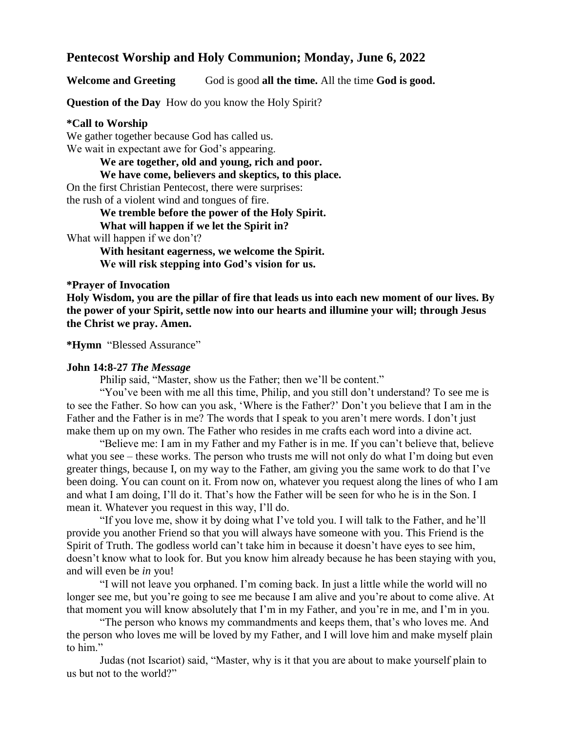# **Pentecost Worship and Holy Communion; Monday, June 6, 2022**

**Welcome and Greeting** God is good **all the time.** All the time God is good.

**Question of the Day** How do you know the Holy Spirit?

### **\*Call to Worship**

We gather together because God has called us. We wait in expectant awe for God's appearing.

**We are together, old and young, rich and poor.**

**We have come, believers and skeptics, to this place.**

On the first Christian Pentecost, there were surprises: the rush of a violent wind and tongues of fire.

**We tremble before the power of the Holy Spirit.**

**What will happen if we let the Spirit in?**

What will happen if we don't?

**With hesitant eagerness, we welcome the Spirit. We will risk stepping into God's vision for us.**

**\*Prayer of Invocation**

**Holy Wisdom, you are the pillar of fire that leads us into each new moment of our lives. By the power of your Spirit, settle now into our hearts and illumine your will; through Jesus the Christ we pray. Amen.**

**\*Hymn** "Blessed Assurance"

### **John 14:8-27** *The Message*

Philip said, "Master, show us the Father; then we'll be content."

"You've been with me all this time, Philip, and you still don't understand? To see me is to see the Father. So how can you ask, 'Where is the Father?' Don't you believe that I am in the Father and the Father is in me? The words that I speak to you aren't mere words. I don't just make them up on my own. The Father who resides in me crafts each word into a divine act.

"Believe me: I am in my Father and my Father is in me. If you can't believe that, believe what you see – these works. The person who trusts me will not only do what I'm doing but even greater things, because I, on my way to the Father, am giving you the same work to do that I've been doing. You can count on it. From now on, whatever you request along the lines of who I am and what I am doing, I'll do it. That's how the Father will be seen for who he is in the Son. I mean it. Whatever you request in this way, I'll do.

"If you love me, show it by doing what I've told you. I will talk to the Father, and he'll provide you another Friend so that you will always have someone with you. This Friend is the Spirit of Truth. The godless world can't take him in because it doesn't have eyes to see him, doesn't know what to look for. But you know him already because he has been staying with you, and will even be *in* you!

"I will not leave you orphaned. I'm coming back. In just a little while the world will no longer see me, but you're going to see me because I am alive and you're about to come alive. At that moment you will know absolutely that I'm in my Father, and you're in me, and I'm in you.

"The person who knows my commandments and keeps them, that's who loves me. And the person who loves me will be loved by my Father, and I will love him and make myself plain to him."

Judas (not Iscariot) said, "Master, why is it that you are about to make yourself plain to us but not to the world?"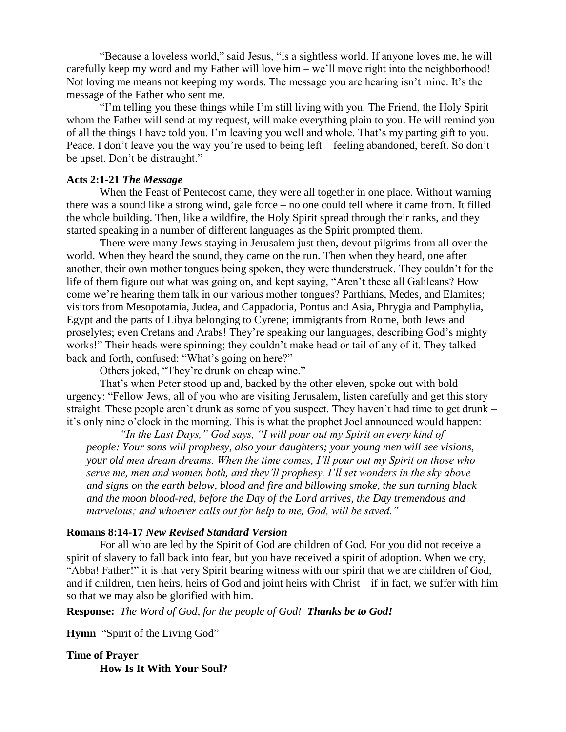"Because a loveless world," said Jesus, "is a sightless world. If anyone loves me, he will carefully keep my word and my Father will love him – we'll move right into the neighborhood! Not loving me means not keeping my words. The message you are hearing isn't mine. It's the message of the Father who sent me.

"I'm telling you these things while I'm still living with you. The Friend, the Holy Spirit whom the Father will send at my request, will make everything plain to you. He will remind you of all the things I have told you. I'm leaving you well and whole. That's my parting gift to you. Peace. I don't leave you the way you're used to being left – feeling abandoned, bereft. So don't be upset. Don't be distraught."

#### **Acts 2:1-21** *The Message*

When the Feast of Pentecost came, they were all together in one place. Without warning there was a sound like a strong wind, gale force – no one could tell where it came from. It filled the whole building. Then, like a wildfire, the Holy Spirit spread through their ranks, and they started speaking in a number of different languages as the Spirit prompted them.

There were many Jews staying in Jerusalem just then, devout pilgrims from all over the world. When they heard the sound, they came on the run. Then when they heard, one after another, their own mother tongues being spoken, they were thunderstruck. They couldn't for the life of them figure out what was going on, and kept saying, "Aren't these all Galileans? How come we're hearing them talk in our various mother tongues? Parthians, Medes, and Elamites; visitors from Mesopotamia, Judea, and Cappadocia, Pontus and Asia, Phrygia and Pamphylia, Egypt and the parts of Libya belonging to Cyrene; immigrants from Rome, both Jews and proselytes; even Cretans and Arabs! They're speaking our languages, describing God's mighty works!" Their heads were spinning; they couldn't make head or tail of any of it. They talked back and forth, confused: "What's going on here?"

Others joked, "They're drunk on cheap wine."

That's when Peter stood up and, backed by the other eleven, spoke out with bold urgency: "Fellow Jews, all of you who are visiting Jerusalem, listen carefully and get this story straight. These people aren't drunk as some of you suspect. They haven't had time to get drunk – it's only nine o'clock in the morning. This is what the prophet Joel announced would happen:

*"In the Last Days," God says, "I will pour out my Spirit on every kind of people: Your sons will prophesy, also your daughters; your young men will see visions, your old men dream dreams. When the time comes, I'll pour out my Spirit on those who serve me, men and women both, and they'll prophesy. I'll set wonders in the sky above and signs on the earth below, blood and fire and billowing smoke, the sun turning black and the moon blood-red, before the Day of the Lord arrives, the Day tremendous and marvelous; and whoever calls out for help to me, God, will be saved."*

#### **Romans 8:14-17** *New Revised Standard Version*

For all who are led by the Spirit of God are children of God. For you did not receive a spirit of slavery to fall back into fear, but you have received a spirit of adoption. When we cry, "Abba! Father!" it is that very Spirit bearing witness with our spirit that we are children of God, and if children, then heirs, heirs of God and joint heirs with Christ – if in fact, we suffer with him so that we may also be glorified with him.

### **Response:** *The Word of God, for the people of God! Thanks be to God!*

**Hymn** "Spirit of the Living God"

**Time of Prayer How Is It With Your Soul?**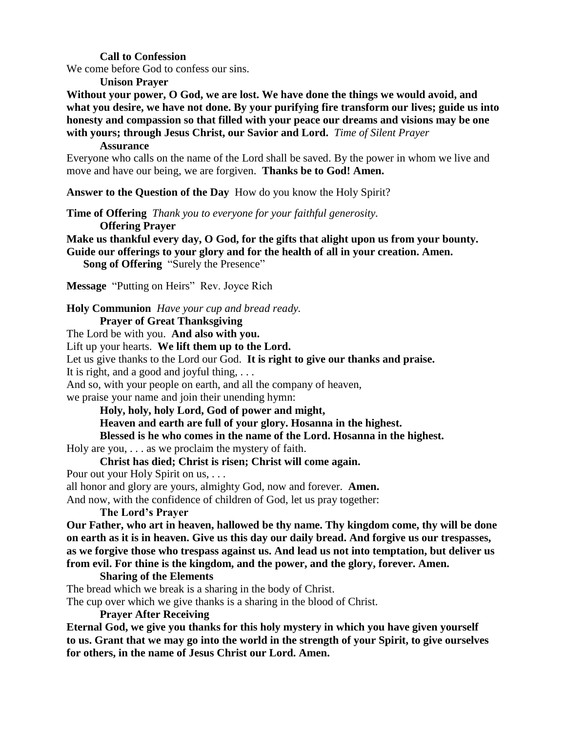### **Call to Confession**

We come before God to confess our sins.

**Unison Prayer**

**Without your power, O God, we are lost. We have done the things we would avoid, and what you desire, we have not done. By your purifying fire transform our lives; guide us into honesty and compassion so that filled with your peace our dreams and visions may be one with yours; through Jesus Christ, our Savior and Lord.** *Time of Silent Prayer*

#### **Assurance**

Everyone who calls on the name of the Lord shall be saved. By the power in whom we live and move and have our being, we are forgiven. **Thanks be to God! Amen.**

**Answer to the Question of the Day** How do you know the Holy Spirit?

**Time of Offering** *Thank you to everyone for your faithful generosity.* **Offering Prayer**

**Make us thankful every day, O God, for the gifts that alight upon us from your bounty. Guide our offerings to your glory and for the health of all in your creation. Amen. Song of Offering** "Surely the Presence"

**Message** "Putting on Heirs" Rev. Joyce Rich

# **Holy Communion** *Have your cup and bread ready.*

**Prayer of Great Thanksgiving** 

The Lord be with you. **And also with you.**

Lift up your hearts. **We lift them up to the Lord.**

Let us give thanks to the Lord our God. **It is right to give our thanks and praise.**

It is right, and a good and joyful thing,  $\dots$ 

And so, with your people on earth, and all the company of heaven,

we praise your name and join their unending hymn:

**Holy, holy, holy Lord, God of power and might,**

**Heaven and earth are full of your glory. Hosanna in the highest.**

**Blessed is he who comes in the name of the Lord. Hosanna in the highest.**

Holy are you, . . . as we proclaim the mystery of faith.

**Christ has died; Christ is risen; Christ will come again.**

Pour out your Holy Spirit on us, ...

all honor and glory are yours, almighty God, now and forever. **Amen.**

And now, with the confidence of children of God, let us pray together:

### **The Lord's Prayer**

**Our Father, who art in heaven, hallowed be thy name. Thy kingdom come, thy will be done on earth as it is in heaven. Give us this day our daily bread. And forgive us our trespasses, as we forgive those who trespass against us. And lead us not into temptation, but deliver us from evil. For thine is the kingdom, and the power, and the glory, forever. Amen.**

### **Sharing of the Elements**

The bread which we break is a sharing in the body of Christ.

The cup over which we give thanks is a sharing in the blood of Christ.

### **Prayer After Receiving**

**Eternal God, we give you thanks for this holy mystery in which you have given yourself to us. Grant that we may go into the world in the strength of your Spirit, to give ourselves for others, in the name of Jesus Christ our Lord. Amen.**